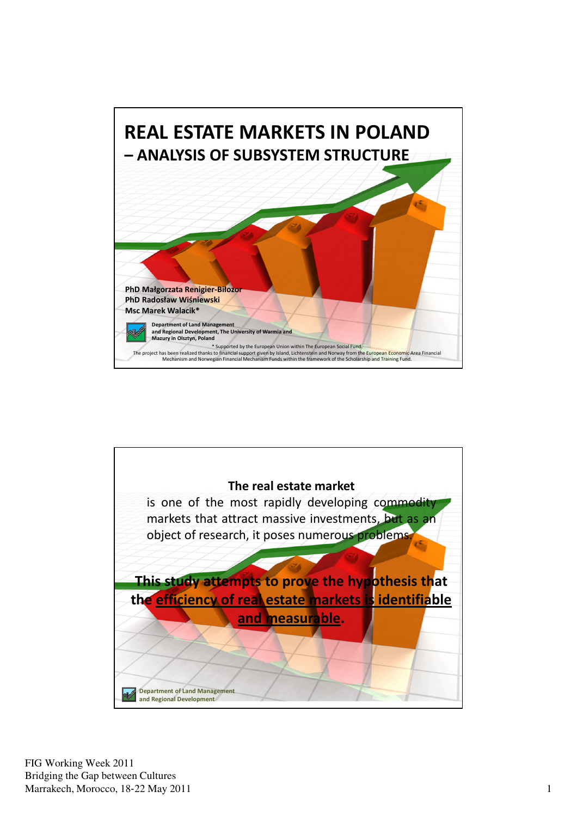

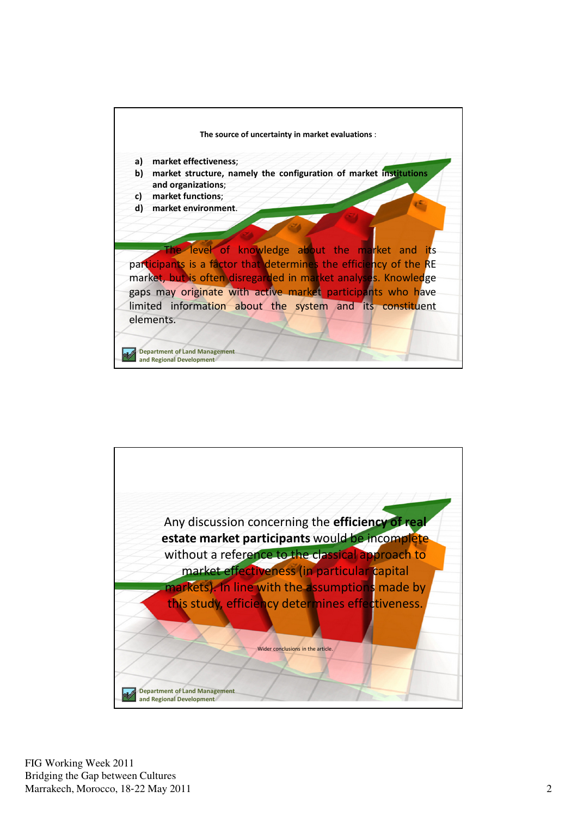![](_page_1_Figure_0.jpeg)

![](_page_1_Picture_1.jpeg)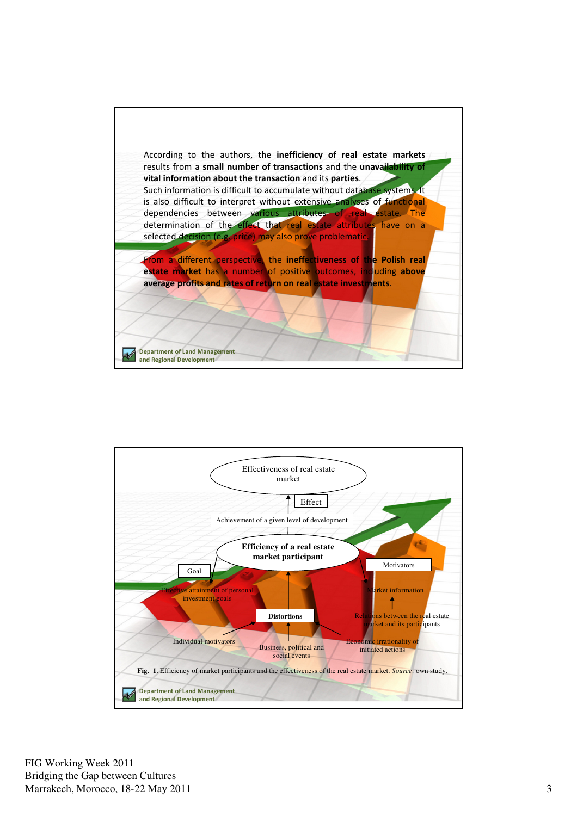![](_page_2_Picture_0.jpeg)

![](_page_2_Figure_1.jpeg)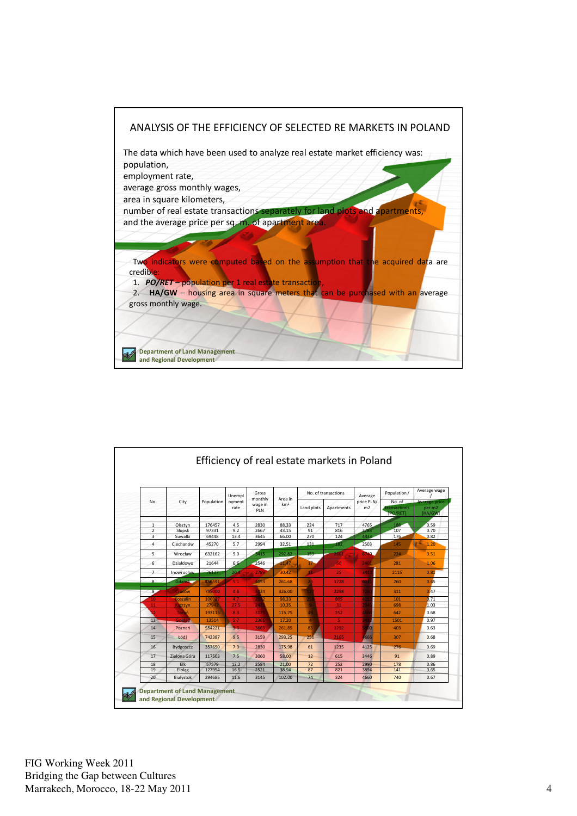![](_page_3_Figure_0.jpeg)

|                         | City             | Population | Unempl<br>oyment<br>rate | Gross<br>monthly<br>wage in<br>PLN | Area in<br>km <sup>2</sup> | No. of transactions |            | Average          | Population /                       | Average wage                              |
|-------------------------|------------------|------------|--------------------------|------------------------------------|----------------------------|---------------------|------------|------------------|------------------------------------|-------------------------------------------|
| No.                     |                  |            |                          |                                    |                            | Land plots          | Apartments | price PLN/<br>m2 | No. of<br>transactions<br>[PO/RET] | <b>Average price</b><br>per m2<br>[HA/GW] |
| $\mathbf{1}$            | Olsztvn          | 176457     | 4.5                      | 2830                               | 88.33                      | 224                 | 717        | 4765             | 188                                | 0.59                                      |
| $\overline{2}$          | Słupsk           | 97331      | 9.2                      | 2667                               | 43.15                      | 91                  | 816        | 3783             | 107                                | 0.70                                      |
| $\overline{\mathbf{3}}$ | Suwałki          | 69448      | 13.4                     | 3645                               | 66.00                      | 270                 | 124        | 4433             | 176                                | 0.82                                      |
| 4                       | Ciechanów        | 45270      | 5.7                      | 2994                               | 32.51                      | 131                 | 182        | 2503             | 145                                | 1.20                                      |
| 5                       | Wrocław          | 632162     | 5.0                      | 3415                               | 292.82                     | 159                 | 2661       | 6740.            | 224                                | 0.51                                      |
| 6                       | Działdowo        | 21644      | 6.6                      | 2546                               | 11.47                      | 17                  | 60         | 2401             | 281                                | 1.06                                      |
| $\overline{7}$          | Inowrocław       | 76137      | 20 <sub>1</sub>          | 2789                               | 30.42                      | 41                  | 25         | 344              | 2115                               | 0.81                                      |
| $\mathbf{R}$            | Gdaásk           | 456591     | 5.1                      | 4053                               | 261.68                     | 26                  | 1728       | 621              | 260                                | 0.65                                      |
| $9 -$                   | Cracow           | 755000     | 4.6                      | 3424                               | 326.00                     | 12                  | 2298       | 726              | 311                                | 0.47                                      |
| 10 <sup>1</sup>         | Koszalin         | 106987     | 4.7                      | 2932                               | 98.33                      |                     | 805        | 41               | 101                                | 0.71                                      |
| 11                      | Ketrzyn          | 27942      | 27.5                     | 242                                | 10.35                      |                     | 31         |                  | 698                                | 1.03                                      |
| 12                      | Toruń            | 193115     | 8.3                      | 3175                               | 115.75                     | 49                  | 252        | 466              | 642                                | 0.68                                      |
| 13                      | <b>Goldap</b>    | 13514      | 5.7                      | 2361                               | 17.20                      | $\overline{4}$      | 5.         |                  | 1501                               | 0.97                                      |
| 14                      | Poznań           | 554221     | 3.3                      | 3669                               | 261.85                     | 83                  | 1292       | 00 <sub>1</sub>  | 403                                | 0.63                                      |
| 15                      | Łódź             | 742387     | 9.5                      | 3159                               | 293.25                     | 251                 | 2165       | 4666             | 307                                | 0.68                                      |
| 16                      | <b>Bydgoszcz</b> | 357650     | 7.3                      | 2830                               | 175.98                     | 61                  | 1235       | 4125             | 276                                | 0.69                                      |
| 17                      | Zielona Góra     | 117503     | 7.5                      | 3060                               | 58.00                      | 12                  | 615        | 3446             | 91                                 | 0.89                                      |
| 18                      | Ełk              | 57579      | 12.2                     | 2584                               | 21.00                      | 72                  | 252        | 2990             | 178                                | 0.86                                      |
| 19                      | Elblag           | 127954     | 16.5                     | 2521                               | 38.94                      | 87                  | 821        | 3894             | 141                                | 0.65                                      |
| 20                      | Białystok        | 294685     | 11.6                     | 3145                               | 102.00                     | 74                  | 324        | 4660             | 740                                | 0.67                                      |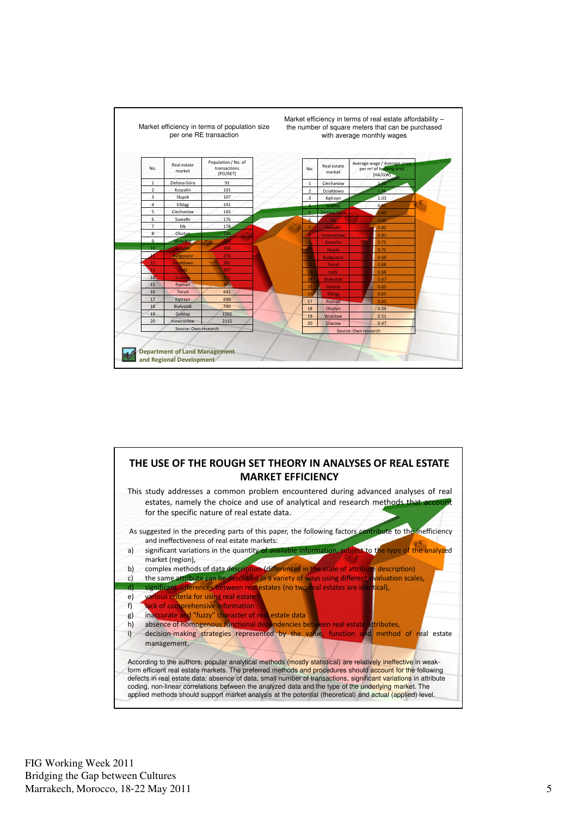![](_page_4_Figure_0.jpeg)

![](_page_4_Figure_1.jpeg)